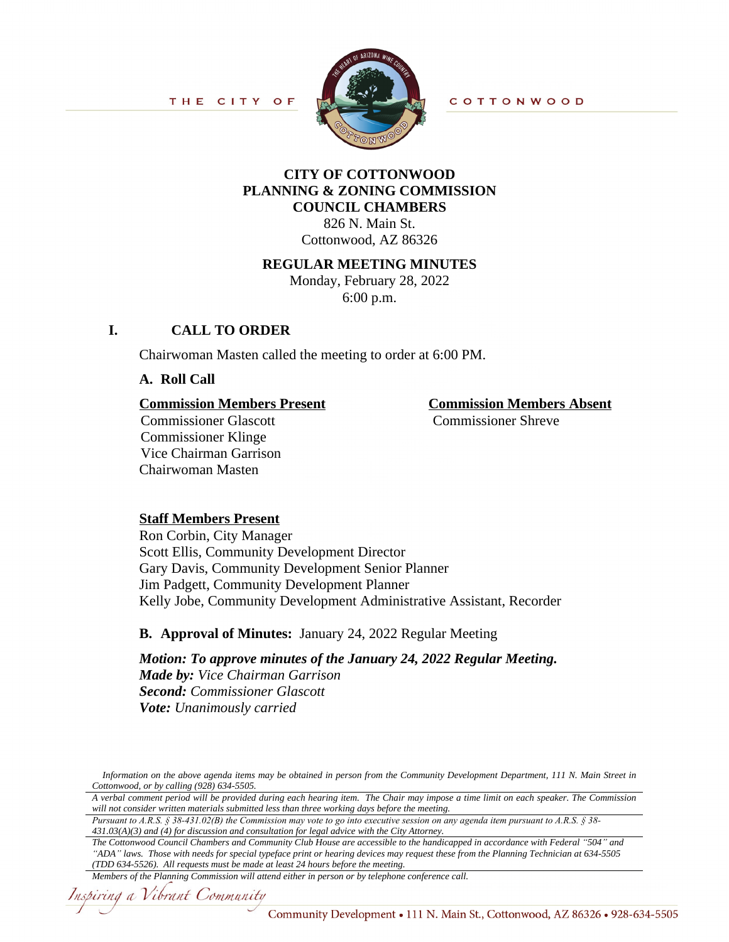

**COTTONWOOD** 

#### **CITY OF COTTONWOOD PLANNING & ZONING COMMISSION COUNCIL CHAMBERS**

826 N. Main St. Cottonwood, AZ 86326

#### **REGULAR MEETING MINUTES**

Monday, February 28, 2022 6:00 p.m.

#### **I. CALL TO ORDER**

Chairwoman Masten called the meeting to order at 6:00 PM.

**A. Roll Call**

# **Commission Members Present**<br> **Commission Members Absent**<br> **Commission Shreve**<br> **Commission Shreve**

Commissioner Glascott Commissioner Klinge Vice Chairman Garrison Chairwoman Masten

## **Staff Members Present**

Ron Corbin, City Manager Scott Ellis, Community Development Director Gary Davis, Community Development Senior Planner Jim Padgett, Community Development Planner Kelly Jobe, Community Development Administrative Assistant, Recorder

#### **B. Approval of Minutes:** January 24, 2022 Regular Meeting

*Motion: To approve minutes of the January 24, 2022 Regular Meeting. Made by: Vice Chairman Garrison Second: Commissioner Glascott Vote: Unanimously carried*

*Pursuant to A.R.S. § 38-431.02(B) the Commission may vote to go into executive session on any agenda item pursuant to A.R.S. § 38- 431.03(A)(3) and (4) for discussion and consultation for legal advice with the City Attorney.*

*The Cottonwood Council Chambers and Community Club House are accessible to the handicapped in accordance with Federal "504" and "ADA" laws. Those with needs for special typeface print or hearing devices may request these from the Planning Technician at 634-5505 (TDD 634-5526). All requests must be made at least 24 hours before the meeting.*

Information on the above agenda items may be obtained in person from the Community Development Department, 111 N. Main Street in *Cottonwood, or by calling (928) 634-5505.*

A verbal comment period will be provided during each hearing item. The Chair may impose a time limit on each speaker. The Commission *will not consider written materials submitted less than three working days before the meeting.*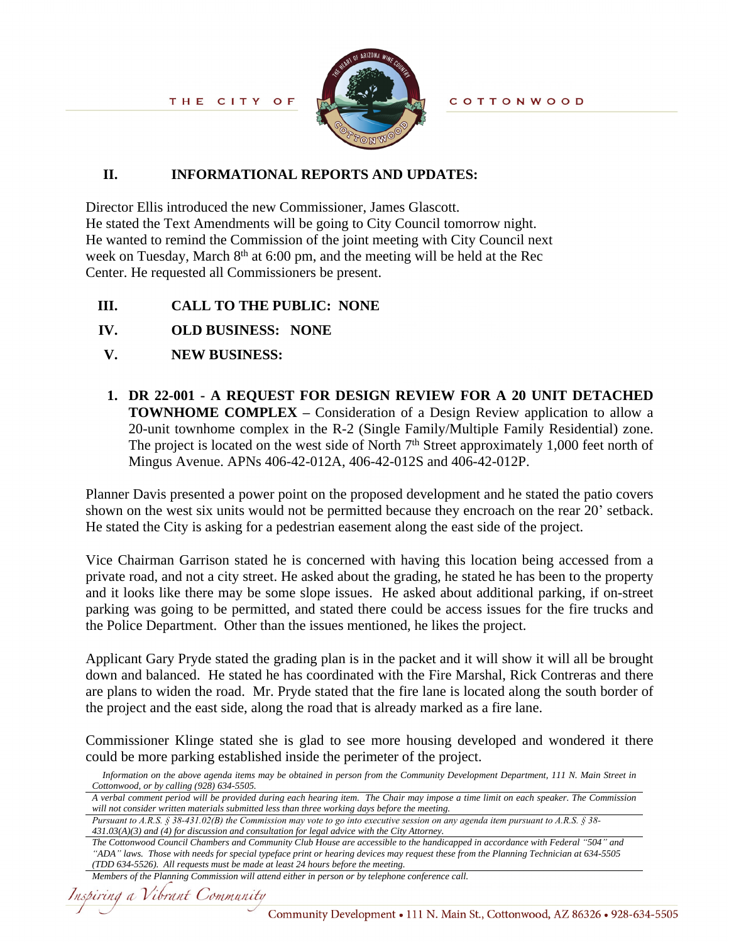

#### **II. INFORMATIONAL REPORTS AND UPDATES:**

Director Ellis introduced the new Commissioner, James Glascott. He stated the Text Amendments will be going to City Council tomorrow night. He wanted to remind the Commission of the joint meeting with City Council next week on Tuesday, March 8<sup>th</sup> at 6:00 pm, and the meeting will be held at the Rec Center. He requested all Commissioners be present.

- **III. CALL TO THE PUBLIC: NONE**
- **IV. OLD BUSINESS:****NONE**
- **V. NEW BUSINESS:**
- **1. DR 22-001 - A REQUEST FOR DESIGN REVIEW FOR A 20 UNIT DETACHED TOWNHOME COMPLEX** – Consideration of a Design Review application to allow a 20-unit townhome complex in the R-2 (Single Family/Multiple Family Residential) zone. The project is located on the west side of North 7<sup>th</sup> Street approximately 1,000 feet north of Mingus Avenue. APNs 406-42-012A, 406-42-012S and 406-42-012P.

Planner Davis presented a power point on the proposed development and he stated the patio covers shown on the west six units would not be permitted because they encroach on the rear 20' setback. He stated the City is asking for a pedestrian easement along the east side of the project.

 Vice Chairman Garrison stated he is concerned with having this location being accessed from a private road, and not a city street. He asked about the grading, he stated he has been to the property and it looks like there may be some slope issues. He asked about additional parking, if on-street parking was going to be permitted, and stated there could be access issues for the fire trucks and the Police Department. Other than the issues mentioned, he likes the project.

Applicant Gary Pryde stated the grading plan is in the packet and it will show it will all be brought down and balanced. He stated he has coordinated with the Fire Marshal, Rick Contreras and there are plans to widen the road. Mr. Pryde stated that the fire lane is located along the south border of the project and the east side, along the road that is already marked as a fire lane.

 Commissioner Klinge stated she is glad to see more housing developed and wondered it there could be more parking established inside the perimeter of the project.

*Pursuant to A.R.S. § 38-431.02(B) the Commission may vote to go into executive session on any agenda item pursuant to A.R.S. § 38- 431.03(A)(3) and (4) for discussion and consultation for legal advice with the City Attorney.*

```
Members of the Planning Commission will attend either in person or by telephone conference call.
```
Information on the above agenda items may be obtained in person from the Community Development Department, 111 N. Main Street in *Cottonwood, or by calling (928) 634-5505.*

A verbal comment period will be provided during each hearing item. The Chair may impose a time limit on each speaker. The Commission *will not consider written materials submitted less than three working days before the meeting.*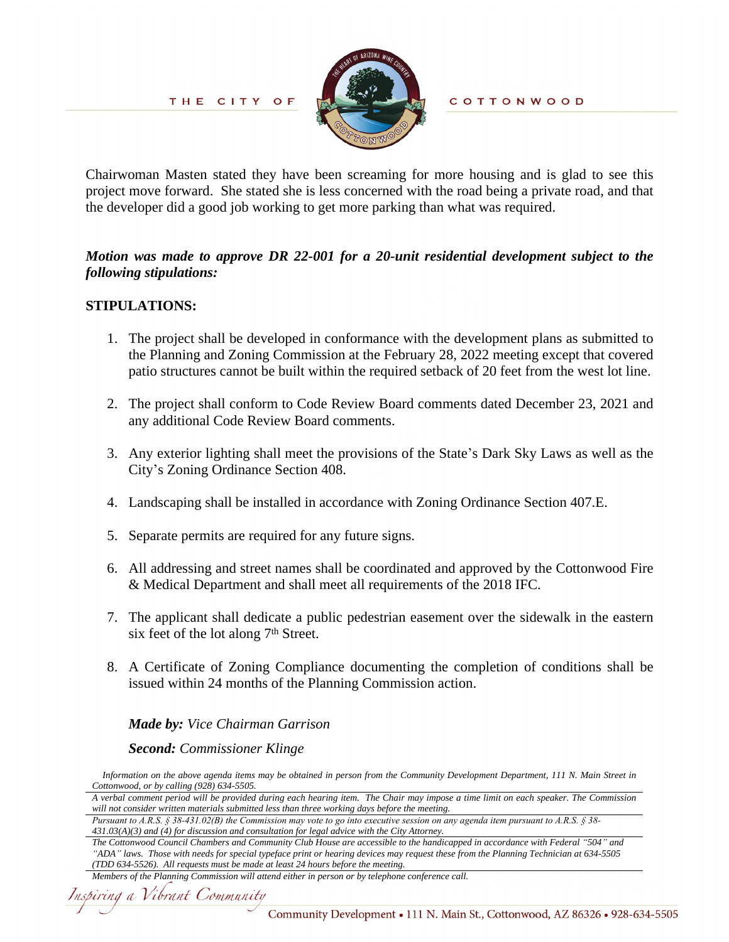

Chairwoman Masten stated they have been screaming for more housing and is glad to see this project move forward. She stated she is less concerned with the road being a private road, and that the developer did a good job working to get more parking than what was required.

#### *Motion was made to approve DR 22-001 for a 20-unit residential development subject to the following stipulations:*

#### **STIPULATIONS:**

- 1. The project shall be developed in conformance with the development plans as submitted to the Planning and Zoning Commission at the February 28, 2022 meeting except that covered patio structures cannot be built within the required setback of 20 feet from the west lot line.
- 2. The project shall conform to Code Review Board comments dated December 23, 2021 and any additional Code Review Board comments.
- 3. Any exterior lighting shall meet the provisions of the State's Dark Sky Laws as well as the City's Zoning Ordinance Section 408.
- 4. Landscaping shall be installed in accordance with Zoning Ordinance Section 407.E.
- 5. Separate permits are required for any future signs.
- 6. All addressing and street names shall be coordinated and approved by the Cottonwood Fire & Medical Department and shall meet all requirements of the 2018 IFC.
- 7. The applicant shall dedicate a public pedestrian easement over the sidewalk in the eastern six feet of the lot along  $7<sup>th</sup>$  Street.
- 8. A Certificate of Zoning Compliance documenting the completion of conditions shall be issued within 24 months of the Planning Commission action.

#### *Made by: Vice Chairman Garrison*

#### *Second: Commissioner Klinge*

Information on the above agenda items may be obtained in person from the Community Development Department, 111 N. Main Street in *Cottonwood, or by calling (928) 634-5505.*

A verbal comment period will be provided during each hearing item. The Chair may impose a time limit on each speaker. The Commission *will not consider written materials submitted less than three working days before the meeting.*

*Pursuant to A.R.S. § 38-431.02(B) the Commission may vote to go into executive session on any agenda item pursuant to A.R.S. § 38- 431.03(A)(3) and (4) for discussion and consultation for legal advice with the City Attorney.*

*The Cottonwood Council Chambers and Community Club House are accessible to the handicapped in accordance with Federal "504" and "ADA" laws. Those with needs for special typeface print or hearing devices may request these from the Planning Technician at 634-5505 (TDD 634-5526). All requests must be made at least 24 hours before the meeting.*

*Members of the Planning Commission will attend either in person or by telephone conference call.*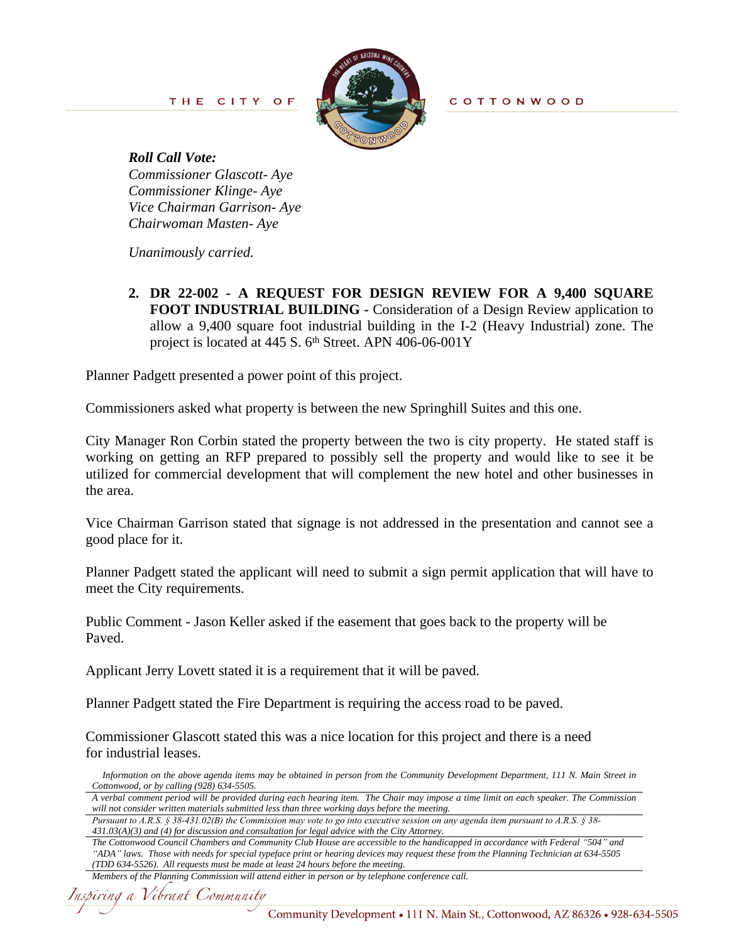

*Roll Call Vote: Commissioner Glascott- Aye Commissioner Klinge- Aye Vice Chairman Garrison- Aye Chairwoman Masten- Aye*

*Unanimously carried.*

**2. DR 22-002 - A REQUEST FOR DESIGN REVIEW FOR A 9,400 SQUARE FOOT INDUSTRIAL BUILDING -** Consideration of a Design Review application to allow a 9,400 square foot industrial building in the I-2 (Heavy Industrial) zone. The project is located at 445 S. 6<sup>th</sup> Street. APN 406-06-001Y

Planner Padgett presented a power point of this project.

Commissioners asked what property is between the new Springhill Suites and this one.

City Manager Ron Corbin stated the property between the two is city property. He stated staff is working on getting an RFP prepared to possibly sell the property and would like to see it be utilized for commercial development that will complement the new hotel and other businesses in the area.

Vice Chairman Garrison stated that signage is not addressed in the presentation and cannot see a good place for it.

Planner Padgett stated the applicant will need to submit a sign permit application that will have to meet the City requirements.

Public Comment - Jason Keller asked if the easement that goes back to the property will be Paved.

Applicant Jerry Lovett stated it is a requirement that it will be paved.

Planner Padgett stated the Fire Department is requiring the access road to be paved.

Commissioner Glascott stated this was a nice location for this project and there is a need for industrial leases.

Information on the above agenda items may be obtained in person from the Community Development Department, 111 N. Main Street in *Cottonwood, or by calling (928) 634-5505.*

*Pursuant to A.R.S. § 38-431.02(B) the Commission may vote to go into executive session on any agenda item pursuant to A.R.S. § 38- 431.03(A)(3) and (4) for discussion and consultation for legal advice with the City Attorney.*

```
Members of the Planning Commission will attend either in person or by telephone conference call.
```
A verbal comment period will be provided during each hearing item. The Chair may impose a time limit on each speaker. The Commission *will not consider written materials submitted less than three working days before the meeting.*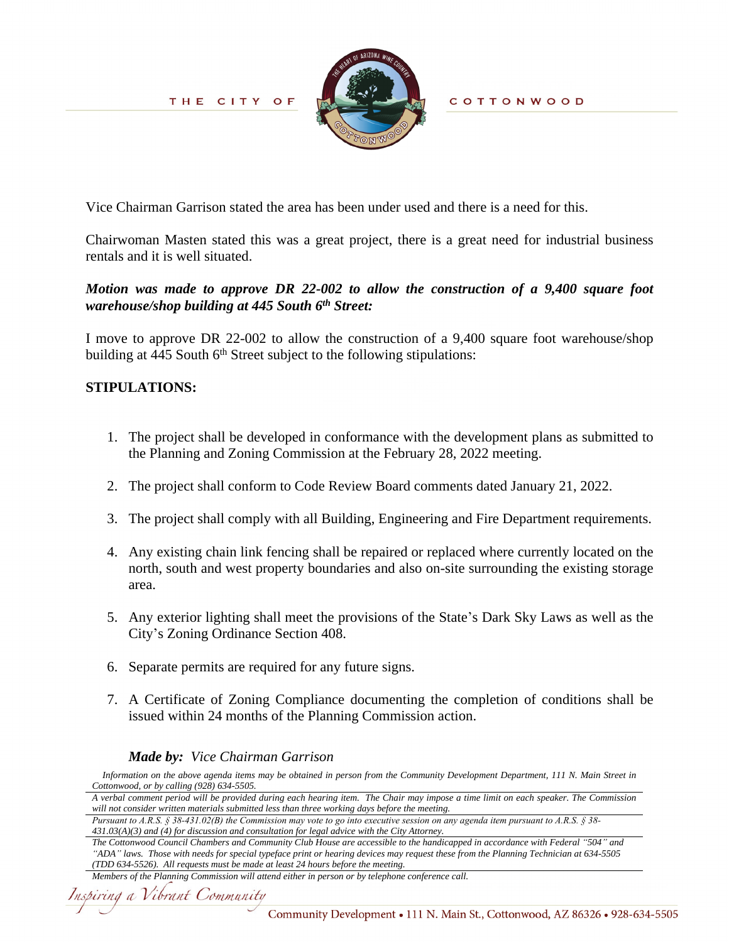

**COTTONWOOD** 

Vice Chairman Garrison stated the area has been under used and there is a need for this.

Chairwoman Masten stated this was a great project, there is a great need for industrial business rentals and it is well situated.

#### *Motion was made to approve DR 22-002 to allow the construction of a 9,400 square foot warehouse/shop building at 445 South 6th Street:*

I move to approve DR 22-002 to allow the construction of a 9,400 square foot warehouse/shop building at  $445$  South  $6<sup>th</sup>$  Street subject to the following stipulations:

#### **STIPULATIONS:**

- 1. The project shall be developed in conformance with the development plans as submitted to the Planning and Zoning Commission at the February 28, 2022 meeting.
- 2. The project shall conform to Code Review Board comments dated January 21, 2022.
- 3. The project shall comply with all Building, Engineering and Fire Department requirements.
- 4. Any existing chain link fencing shall be repaired or replaced where currently located on the north, south and west property boundaries and also on-site surrounding the existing storage area.
- 5. Any exterior lighting shall meet the provisions of the State's Dark Sky Laws as well as the City's Zoning Ordinance Section 408.
- 6. Separate permits are required for any future signs.
- 7. A Certificate of Zoning Compliance documenting the completion of conditions shall be issued within 24 months of the Planning Commission action.

#### *Made by: Vice Chairman Garrison*

Information on the above agenda items may be obtained in person from the Community Development Department, 111 N. Main Street in *Cottonwood, or by calling (928) 634-5505.*

*Pursuant to A.R.S. § 38-431.02(B) the Commission may vote to go into executive session on any agenda item pursuant to A.R.S. § 38- 431.03(A)(3) and (4) for discussion and consultation for legal advice with the City Attorney.*

*The Cottonwood Council Chambers and Community Club House are accessible to the handicapped in accordance with Federal "504" and "ADA" laws. Those with needs for special typeface print or hearing devices may request these from the Planning Technician at 634-5505 (TDD 634-5526). All requests must be made at least 24 hours before the meeting.*

A verbal comment period will be provided during each hearing item. The Chair may impose a time limit on each speaker. The Commission *will not consider written materials submitted less than three working days before the meeting.*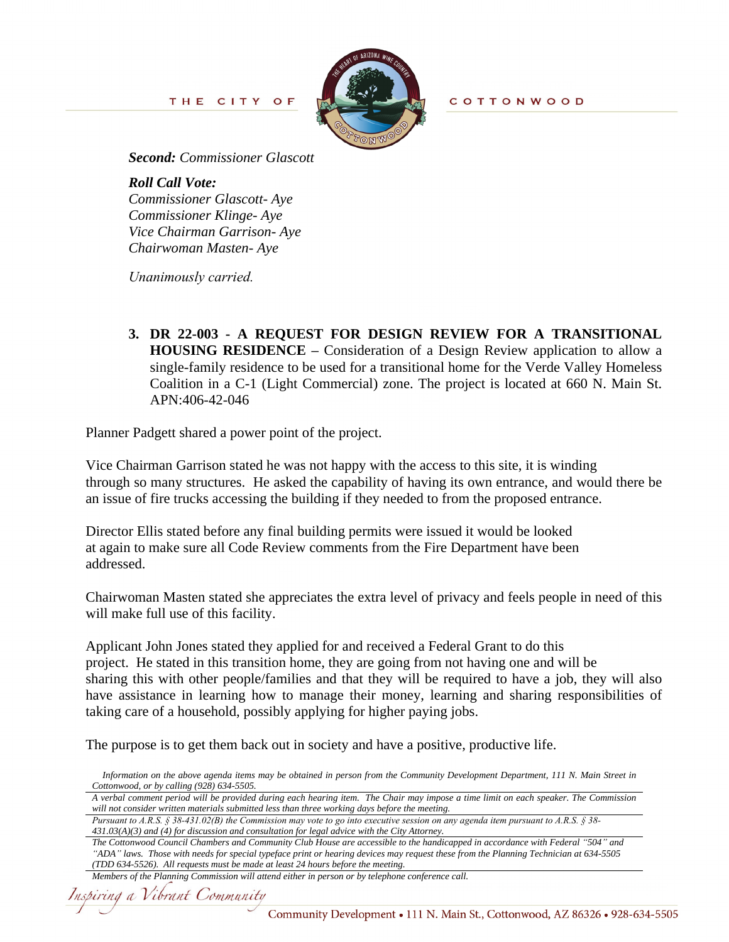THE CITY OF



*Second: Commissioner Glascott*

*Roll Call Vote: Commissioner Glascott- Aye Commissioner Klinge- Aye Vice Chairman Garrison- Aye Chairwoman Masten- Aye*

*Unanimously carried.* 

**3. DR 22-003 - A REQUEST FOR DESIGN REVIEW FOR A TRANSITIONAL HOUSING RESIDENCE –** Consideration of a Design Review application to allow a single-family residence to be used for a transitional home for the Verde Valley Homeless Coalition in a C-1 (Light Commercial) zone. The project is located at 660 N. Main St. APN:406-42-046

Planner Padgett shared a power point of the project.

Vice Chairman Garrison stated he was not happy with the access to this site, it is winding through so many structures. He asked the capability of having its own entrance, and would there be an issue of fire trucks accessing the building if they needed to from the proposed entrance.

Director Ellis stated before any final building permits were issued it would be looked at again to make sure all Code Review comments from the Fire Department have been addressed.

Chairwoman Masten stated she appreciates the extra level of privacy and feels people in need of this will make full use of this facility.

Applicant John Jones stated they applied for and received a Federal Grant to do this project. He stated in this transition home, they are going from not having one and will be sharing this with other people/families and that they will be required to have a job, they will also have assistance in learning how to manage their money, learning and sharing responsibilities of taking care of a household, possibly applying for higher paying jobs.

The purpose is to get them back out in society and have a positive, productive life.

Information on the above agenda items may be obtained in person from the Community Development Department, 111 N. Main Street in *Cottonwood, or by calling (928) 634-5505.*

*Pursuant to A.R.S. § 38-431.02(B) the Commission may vote to go into executive session on any agenda item pursuant to A.R.S. § 38- 431.03(A)(3) and (4) for discussion and consultation for legal advice with the City Attorney.*

```
Members of the Planning Commission will attend either in person or by telephone conference call.
```
A verbal comment period will be provided during each hearing item. The Chair may impose a time limit on each speaker. The Commission *will not consider written materials submitted less than three working days before the meeting.*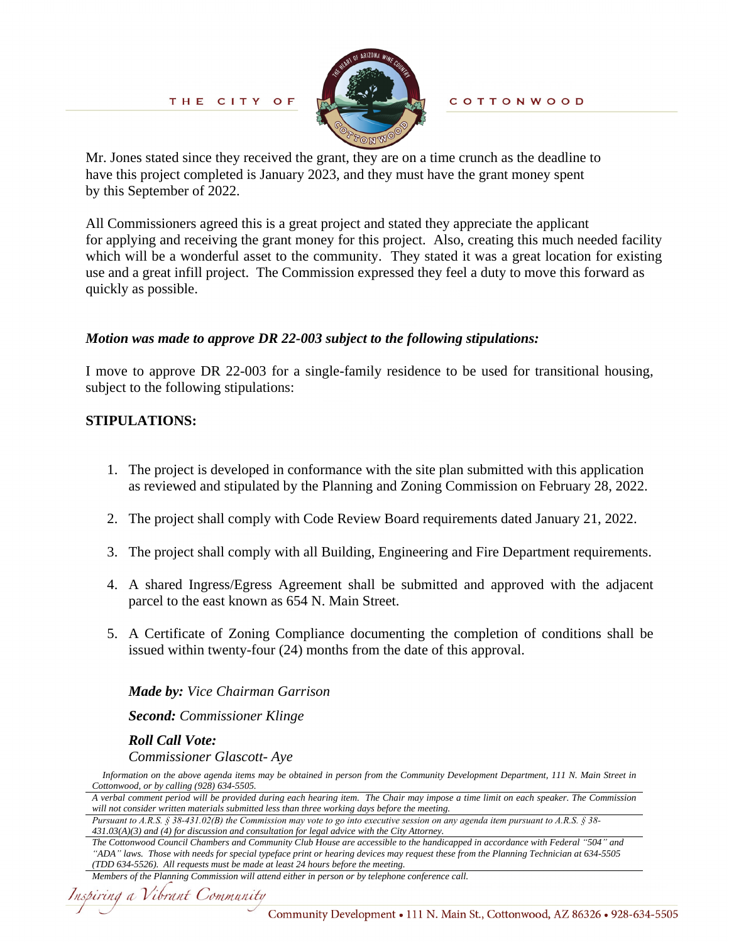

**COTTONWOOD** 

Mr. Jones stated since they received the grant, they are on a time crunch as the deadline to have this project completed is January 2023, and they must have the grant money spent by this September of 2022.

All Commissioners agreed this is a great project and stated they appreciate the applicant for applying and receiving the grant money for this project. Also, creating this much needed facility which will be a wonderful asset to the community. They stated it was a great location for existing use and a great infill project. The Commission expressed they feel a duty to move this forward as quickly as possible.

#### *Motion was made to approve DR 22-003 subject to the following stipulations:*

I move to approve DR 22-003 for a single-family residence to be used for transitional housing, subject to the following stipulations:

#### **STIPULATIONS:**

- 1. The project is developed in conformance with the site plan submitted with this application as reviewed and stipulated by the Planning and Zoning Commission on February 28, 2022.
- 2. The project shall comply with Code Review Board requirements dated January 21, 2022.
- 3. The project shall comply with all Building, Engineering and Fire Department requirements.
- 4. A shared Ingress/Egress Agreement shall be submitted and approved with the adjacent parcel to the east known as 654 N. Main Street.
- 5. A Certificate of Zoning Compliance documenting the completion of conditions shall be issued within twenty-four (24) months from the date of this approval.

*Made by: Vice Chairman Garrison*

*Second: Commissioner Klinge*

*Roll Call Vote:* 

*Commissioner Glascott- Aye*

Information on the above agenda items may be obtained in person from the Community Development Department, 111 N. Main Street in *Cottonwood, or by calling (928) 634-5505.*

*Pursuant to A.R.S. § 38-431.02(B) the Commission may vote to go into executive session on any agenda item pursuant to A.R.S. § 38- 431.03(A)(3) and (4) for discussion and consultation for legal advice with the City Attorney.*

```
Members of the Planning Commission will attend either in person or by telephone conference call.
```
A verbal comment period will be provided during each hearing item. The Chair may impose a time limit on each speaker. The Commission *will not consider written materials submitted less than three working days before the meeting.*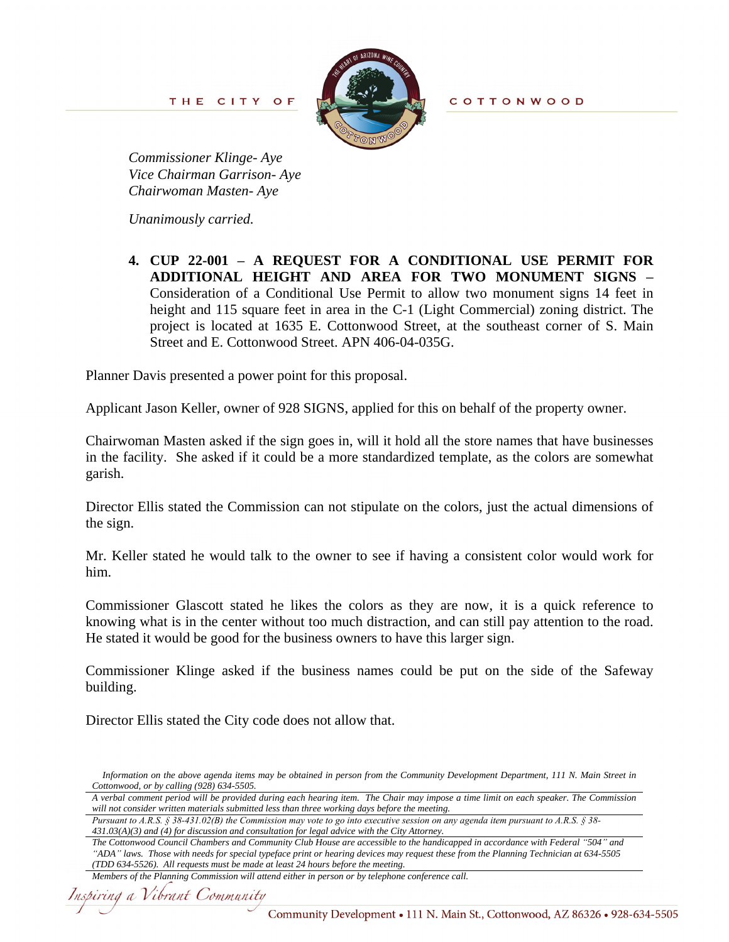THE CITY OF



*Commissioner Klinge- Aye Vice Chairman Garrison- Aye Chairwoman Masten- Aye*

*Unanimously carried.*

**4. CUP 22-001 – A REQUEST FOR A CONDITIONAL USE PERMIT FOR ADDITIONAL HEIGHT AND AREA FOR TWO MONUMENT SIGNS –** Consideration of a Conditional Use Permit to allow two monument signs 14 feet in height and 115 square feet in area in the C-1 (Light Commercial) zoning district. The project is located at 1635 E. Cottonwood Street, at the southeast corner of S. Main Street and E. Cottonwood Street. APN 406-04-035G.

Planner Davis presented a power point for this proposal.

Applicant Jason Keller, owner of 928 SIGNS, applied for this on behalf of the property owner.

Chairwoman Masten asked if the sign goes in, will it hold all the store names that have businesses in the facility. She asked if it could be a more standardized template, as the colors are somewhat garish.

Director Ellis stated the Commission can not stipulate on the colors, just the actual dimensions of the sign.

Mr. Keller stated he would talk to the owner to see if having a consistent color would work for him.

Commissioner Glascott stated he likes the colors as they are now, it is a quick reference to knowing what is in the center without too much distraction, and can still pay attention to the road. He stated it would be good for the business owners to have this larger sign.

Commissioner Klinge asked if the business names could be put on the side of the Safeway building.

Director Ellis stated the City code does not allow that.

Information on the above agenda items may be obtained in person from the Community Development Department, 111 N. Main Street in *Cottonwood, or by calling (928) 634-5505.*

A verbal comment period will be provided during each hearing item. The Chair may impose a time limit on each speaker. The Commission *will not consider written materials submitted less than three working days before the meeting.*

*Pursuant to A.R.S. § 38-431.02(B) the Commission may vote to go into executive session on any agenda item pursuant to A.R.S. § 38- 431.03(A)(3) and (4) for discussion and consultation for legal advice with the City Attorney.*

*The Cottonwood Council Chambers and Community Club House are accessible to the handicapped in accordance with Federal "504" and "ADA" laws. Those with needs for special typeface print or hearing devices may request these from the Planning Technician at 634-5505 (TDD 634-5526). All requests must be made at least 24 hours before the meeting.*

*Members of the Planning Commission will attend either in person or by telephone conference call.*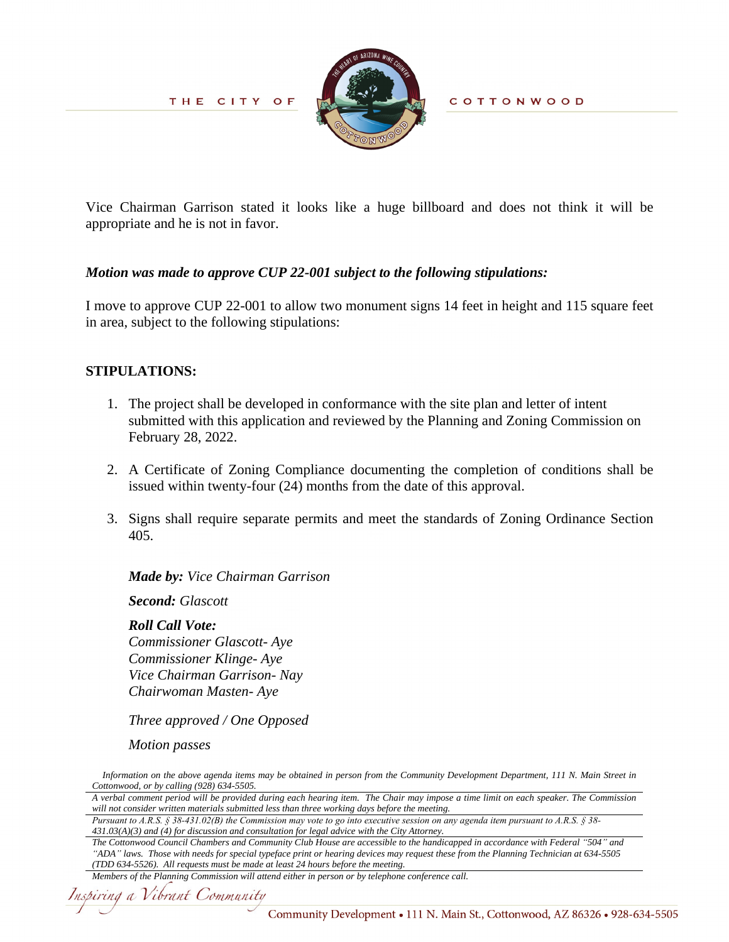

**COTTONWOOD** 

Vice Chairman Garrison stated it looks like a huge billboard and does not think it will be appropriate and he is not in favor.

#### *Motion was made to approve CUP 22-001 subject to the following stipulations:*

I move to approve CUP 22-001 to allow two monument signs 14 feet in height and 115 square feet in area, subject to the following stipulations:

#### **STIPULATIONS:**

- 1. The project shall be developed in conformance with the site plan and letter of intent submitted with this application and reviewed by the Planning and Zoning Commission on February 28, 2022.
- 2. A Certificate of Zoning Compliance documenting the completion of conditions shall be issued within twenty-four (24) months from the date of this approval.
- 3. Signs shall require separate permits and meet the standards of Zoning Ordinance Section 405.

*Made by: Vice Chairman Garrison*

*Second: Glascott*

*Roll Call Vote: Commissioner Glascott- Aye Commissioner Klinge- Aye Vice Chairman Garrison- Nay Chairwoman Masten- Aye*

*Three approved / One Opposed*

*Motion passes*

Information on the above agenda items may be obtained in person from the Community Development Department, 111 N. Main Street in *Cottonwood, or by calling (928) 634-5505.*

A verbal comment period will be provided during each hearing item. The Chair may impose a time limit on each speaker. The Commission *will not consider written materials submitted less than three working days before the meeting.*

*Pursuant to A.R.S. § 38-431.02(B) the Commission may vote to go into executive session on any agenda item pursuant to A.R.S. § 38- 431.03(A)(3) and (4) for discussion and consultation for legal advice with the City Attorney.*

*The Cottonwood Council Chambers and Community Club House are accessible to the handicapped in accordance with Federal "504" and "ADA" laws. Those with needs for special typeface print or hearing devices may request these from the Planning Technician at 634-5505 (TDD 634-5526). All requests must be made at least 24 hours before the meeting.*

Inspiring a Vibrant Community